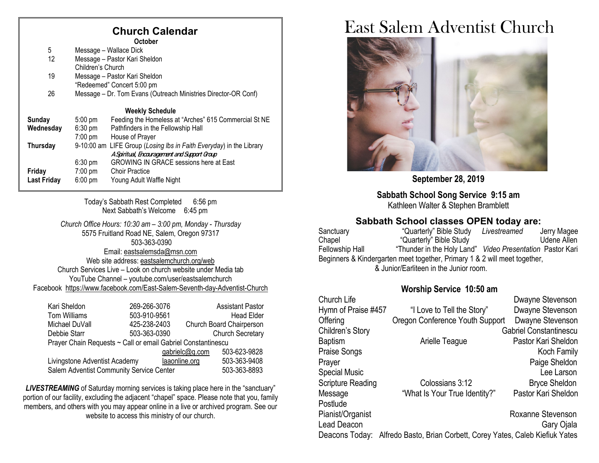## **Church Calendar**

|                    |                               | <b>October</b>                                                 |
|--------------------|-------------------------------|----------------------------------------------------------------|
| 5                  | Message – Wallace Dick        |                                                                |
| 12                 | Message - Pastor Kari Sheldon |                                                                |
|                    | Children's Church             |                                                                |
| 19                 | Message - Pastor Kari Sheldon |                                                                |
|                    |                               | "Redeemed" Concert 5:00 pm                                     |
| 26                 |                               | Message - Dr. Tom Evans (Outreach Ministries Director-OR Conf) |
|                    |                               | <b>Weekly Schedule</b>                                         |
| <b>Sunday</b>      | $5:00$ pm                     | Feeding the Homeless at "Arches" 615 Commercial St NE          |
| Wednesday          | $6:30$ pm                     | Pathfinders in the Fellowship Hall                             |
|                    | $7:00 \text{ pm}$             | House of Prayer                                                |
| Thursday           | 9-10:00 am                    | LIFE Group (Losing Ibs in Faith Everyday) in the Library       |
|                    |                               | A Spiritual, Encouragement and Support Group                   |
|                    | $6:30$ pm                     | <b>GROWING IN GRACE sessions here at East</b>                  |
| Friday             | $7:00 \text{ pm}$             | <b>Choir Practice</b>                                          |
| <b>Last Friday</b> | $6:00$ pm                     | Young Adult Waffle Night                                       |
|                    |                               |                                                                |

Today's Sabbath Rest Completed 6:56 pm Next Sabbath's Welcome 6:45 pm

*Church Office Hours: 10:30 am – 3:00 pm, Monday - Thursday* 5575 Fruitland Road NE, Salem, Oregon 97317 503-363-0390 Email: [eastsalemsda@msn.com](mailto:eastsalemsda@msn.com) Web site address[: eastsalemchurch.org/w](http://eastsalem.adventists.info/)eb Church Services Live – Look on church website under Media tab YouTube Channel – youtube.com/user/eastsalemchurch Facebook [https://www.facebook.com/East-Salem-Seventh-day-Adventist-Church](https://www.facebook.com/East-Salem-Seventh-day-Adventist-Church-111402832212994/?fref=ts)

| Kari Sheldon                                                 | 269-266-3076 | <b>Assistant Pastor</b>       |  |  |
|--------------------------------------------------------------|--------------|-------------------------------|--|--|
| Tom Williams                                                 | 503-910-9561 | <b>Head Elder</b>             |  |  |
| Michael DuVall                                               | 425-238-2403 | Church Board Chairperson      |  |  |
| Debbie Starr                                                 | 503-363-0390 | <b>Church Secretary</b>       |  |  |
| Prayer Chain Requests ~ Call or email Gabriel Constantinescu |              |                               |  |  |
| 503-623-9828<br>gabrielc@q.com                               |              |                               |  |  |
| Livingstone Adventist Academy                                |              | 503-363-9408<br>laaonline.org |  |  |
| Salem Adventist Community Service Center                     | 503-363-8893 |                               |  |  |

**LIVESTREAMING** of Saturday morning services is taking place here in the "sanctuary" portion of our facility, excluding the adjacent "chapel" space. Please note that you, family members, and others with you may appear online in a live or archived program. See our website to access this ministry of our church.

# East Salem Adventist Church



**September 28, 2019**

**Sabbath School Song Service 9:15 am** Kathleen Walter & Stephen Bramblett

# **Sabbath School classes OPEN today are:**<br>"Quarterly" Bible Study Livestreamed Jerry Magee

Sanctuary "Quarterly" Bible Study *Livestreamed* Chapel "Quarterly" Bible Study Udene Allen Fellowship Hall "Thunder in the Holy Land" *Video Presentation* Pastor Kari Beginners & Kindergarten meet together, Primary 1 & 2 will meet together, & Junior/Earliteen in the Junior room.

#### **Worship Service 10:50 am**

| Church Life          |                                                                | Dwayne Stevenson              |
|----------------------|----------------------------------------------------------------|-------------------------------|
| Hymn of Praise #457  | "I Love to Tell the Story"                                     | Dwayne Stevenson              |
| Offering             | Oregon Conference Youth Support                                | Dwayne Stevenson              |
| Children's Story     |                                                                | <b>Gabriel Constantinescu</b> |
| <b>Baptism</b>       | Arielle Teague                                                 | Pastor Kari Sheldon           |
| Praise Songs         |                                                                | Koch Family                   |
| Prayer               |                                                                | Paige Sheldon                 |
| <b>Special Music</b> |                                                                | Lee Larson                    |
| Scripture Reading    | Colossians 3:12                                                | <b>Bryce Sheldon</b>          |
| Message              | "What Is Your True Identity?"                                  | Pastor Kari Sheldon           |
| Postlude             |                                                                |                               |
| Pianist/Organist     |                                                                | Roxanne Stevenson             |
| Lead Deacon          |                                                                | Gary Ojala                    |
| Deacons Today:       | Alfredo Basto, Brian Corbett, Corey Yates, Caleb Kiefiuk Yates |                               |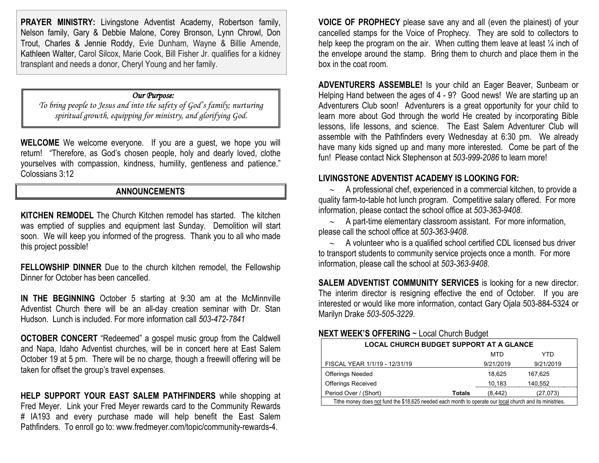**PRAYER MINISTRY:** Livingstone Adventist Academy, Robertson family, Nelson family, Gary & Debbie Malone, Corey Bronson, Lynn Chrowl, Don Trout, Charles & Jennie Roddy, Evie Dunham, Wayne & Billie Amende, Kathleen Walter, Carol Silcox, Marie Cook, Bill Fisher Jr. qualifies for a kidney transplant and needs a donor, Cheryl Young and her family.

#### *Our Purpose:*

*To bring people to Jesus and into the safety of God's family; nurturing spiritual growth, equipping for ministry, and glorifying God.*

**WELCOME** We welcome everyone. If you are a guest, we hope you will return! "Therefore, as God's chosen people, holy and dearly loved, clothe yourselves with compassion, kindness, humility, gentleness and patience." Colossians 3:12

#### **ANNOUNCEMENTS**

**KITCHEN REMODEL** The Church Kitchen remodel has started. The kitchen was emptied of supplies and equipment last Sunday. Demolition will start soon. We will keep you informed of the progress. Thank you to all who made this project possible!

**FELLOWSHIP DINNER** Due to the church kitchen remodel, the Fellowship Dinner for October has been cancelled.

**IN THE BEGINNING** October 5 starting at 9:30 am at the McMinnville Adventist Church there will be an all-day creation seminar with Dr. Stan Hudson. Lunch is included. For more information call *503-472-7841*

**OCTOBER CONCERT** "Redeemed" a gospel music group from the Caldwell and Napa, Idaho Adventist churches, will be in concert here at East Salem October 19 at 5 pm. There will be no charge, though a freewill offering will be taken for offset the group's travel expenses.

**HELP SUPPORT YOUR EAST SALEM PATHFINDERS** while shopping at Fred Meyer. Link your Fred Meyer rewards card to the Community Rewards # IA193 and every purchase made will help benefit the East Salem Pathfinders. To enroll go to[: www.fredmeyer.com/topic/community-rewards-4.](http://www.fredmeyer.com/topic/community-rewards-4)

**VOICE OF PROPHECY** please save any and all (even the plainest) of your cancelled stamps for the Voice of Prophecy. They are sold to collectors to help keep the program on the air. When cutting them leave at least  $\frac{1}{4}$  inch of the envelope around the stamp. Bring them to church and place them in the box in the coat room.

**ADVENTURERS ASSEMBLE!** Is your child an Eager Beaver, Sunbeam or Helping Hand between the ages of 4 - 9? Good news! We are starting up an Adventurers Club soon! Adventurers is a great opportunity for your child to learn more about God through the world He created by incorporating Bible lessons, life lessons, and science. The East Salem Adventurer Club will assemble with the Pathfinders every Wednesday at 6:30 pm. We already have many kids signed up and many more interested. Come be part of the fun! Please contact Nick Stephenson at *503-999-2086* to learn more!

#### **LIVINGSTONE ADVENTIST ACADEMY IS LOOKING FOR:**

∼ A professional chef, experienced in a commercial kitchen, to provide a quality farm-to-table hot lunch program. Competitive salary offered. For more information, please contact the school office at *503-363-9408*.

∼ A part-time elementary classroom assistant. For more information, please call the school office at *503-363-9408*.

∼ A volunteer who is a qualified school certified CDL licensed bus driver to transport students to community service projects once a month. For more information, please call the school at *503-363-9408*.

**SALEM ADVENTIST COMMUNITY SERVICES** is looking for a new director. The interim director is resigning effective the end of October. If you are interested or would like more information, contact Gary Ojala 503-884-5324 or Marilyn Drake *503-505-3229*.

#### **NEXT WEEK'S OFFERING** ~ Local Church Budget

| <b>LOCAL CHURCH BUDGET SUPPORT AT A GLANCE</b>                                                           |        |           |           |
|----------------------------------------------------------------------------------------------------------|--------|-----------|-----------|
|                                                                                                          |        | MTD       | YTD       |
| FISCAL YEAR 1/1/19 - 12/31/19                                                                            |        | 9/21/2019 | 9/21/2019 |
| <b>Offerings Needed</b>                                                                                  |        | 18.625    | 167.625   |
| <b>Offerings Received</b>                                                                                |        | 10,183    | 140.552   |
| Period Over / (Short)                                                                                    | Totals | (8, 442)  | (27,073)  |
| Tithe money does not fund the \$18,625 needed each month to operate our local church and its ministries. |        |           |           |